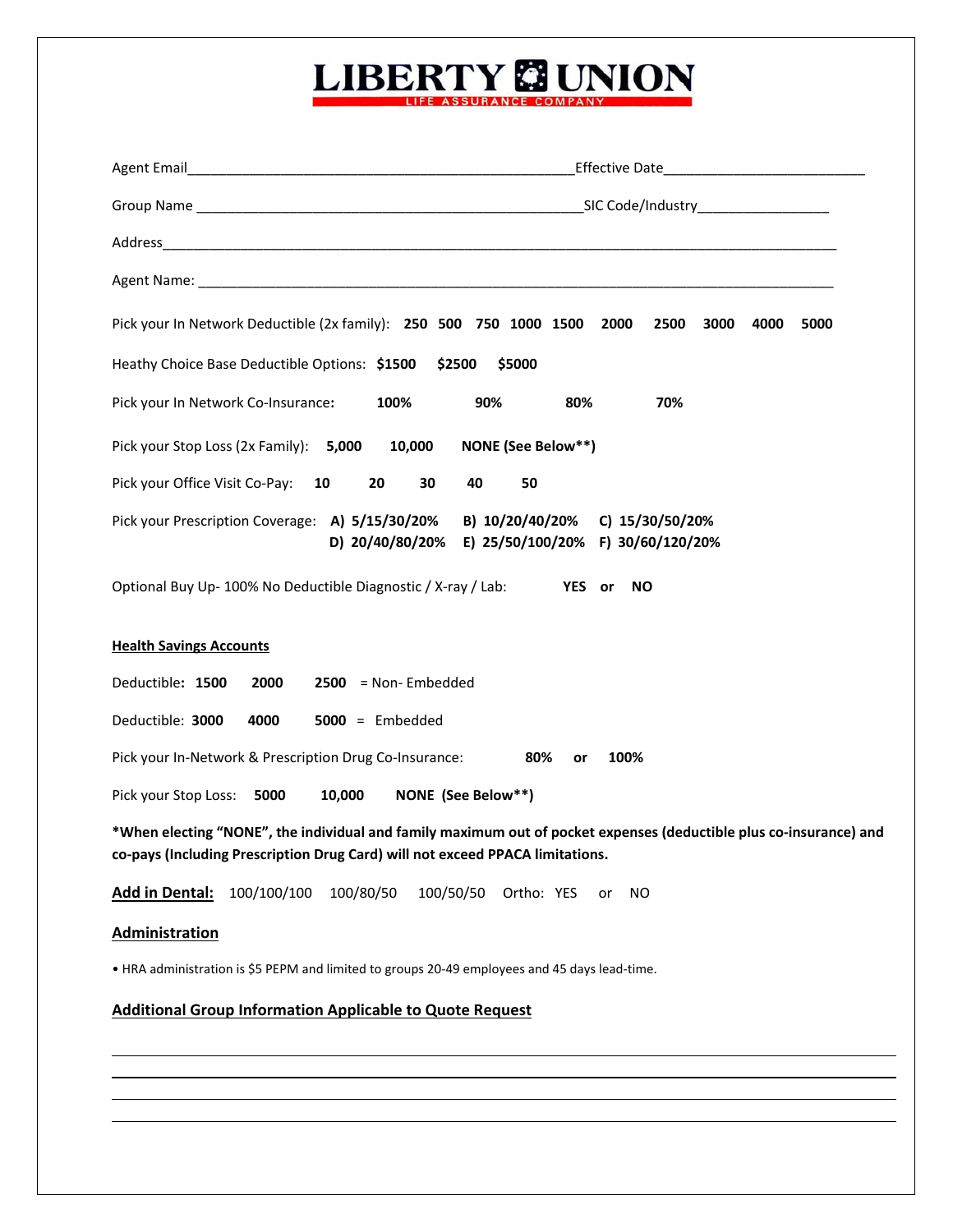## **LIBERTY & UNION**

| Agent Email <b>Agent</b> Email <b>Agent</b> Email <b>Agent</b> Email <b>Agent</b> Email <b>Agent</b> Email <b>Agent</b><br>_Effective Date_______________________________                           |  |  |  |  |  |
|-----------------------------------------------------------------------------------------------------------------------------------------------------------------------------------------------------|--|--|--|--|--|
|                                                                                                                                                                                                     |  |  |  |  |  |
|                                                                                                                                                                                                     |  |  |  |  |  |
|                                                                                                                                                                                                     |  |  |  |  |  |
| Pick your In Network Deductible (2x family): 250 500 750 1000 1500<br>2000<br>2500<br>3000<br>4000<br>5000                                                                                          |  |  |  |  |  |
| Heathy Choice Base Deductible Options: \$1500<br>\$2500<br>\$5000                                                                                                                                   |  |  |  |  |  |
| Pick your In Network Co-Insurance:<br>100%<br>90%<br>80%<br>70%                                                                                                                                     |  |  |  |  |  |
| <b>NONE (See Below**)</b><br>Pick your Stop Loss (2x Family): 5,000<br>10,000                                                                                                                       |  |  |  |  |  |
| Pick your Office Visit Co-Pay:<br>40<br>50<br>10<br>20<br>30                                                                                                                                        |  |  |  |  |  |
| Pick your Prescription Coverage: A) 5/15/30/20%<br>B) 10/20/40/20%<br>C) 15/30/50/20%<br>E) 25/50/100/20% F) 30/60/120/20%<br>D) 20/40/80/20%                                                       |  |  |  |  |  |
| Optional Buy Up-100% No Deductible Diagnostic / X-ray / Lab:<br>YES or<br><b>NO</b>                                                                                                                 |  |  |  |  |  |
| <b>Health Savings Accounts</b>                                                                                                                                                                      |  |  |  |  |  |
| Deductible: 1500<br>2000<br>$2500$ = Non-Embedded                                                                                                                                                   |  |  |  |  |  |
| Deductible: 3000<br>$5000 =$ Embedded<br>4000                                                                                                                                                       |  |  |  |  |  |
| Pick your In-Network & Prescription Drug Co-Insurance:<br>80%<br>100%<br>or                                                                                                                         |  |  |  |  |  |
| 10,000<br>NONE (See Below**)<br>Pick your Stop Loss: 5000                                                                                                                                           |  |  |  |  |  |
| *When electing "NONE", the individual and family maximum out of pocket expenses (deductible plus co-insurance) and<br>co-pays (Including Prescription Drug Card) will not exceed PPACA limitations. |  |  |  |  |  |
| <b>Add in Dental:</b><br>100/100/100<br>100/80/50<br>100/50/50<br>Ortho: YES<br>ΝO<br>or                                                                                                            |  |  |  |  |  |
| Administration                                                                                                                                                                                      |  |  |  |  |  |
| . HRA administration is \$5 PEPM and limited to groups 20-49 employees and 45 days lead-time.                                                                                                       |  |  |  |  |  |
| <b>Additional Group Information Applicable to Quote Request</b>                                                                                                                                     |  |  |  |  |  |
|                                                                                                                                                                                                     |  |  |  |  |  |

<u> 1989 - Johann Stoff, amerikansk politiker (d. 1989)</u>